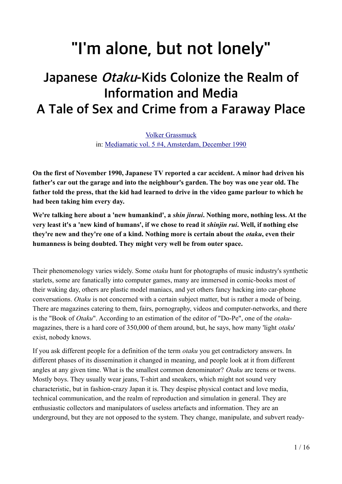# "I'm alone, but not lonely"

# Japanese Otaku-Kids Colonize the Realm of Information and Media A Tale of Sex and Crime from a Faraway Place

[Volker Grassmuck](http://www.vgrass.de/) in: [Mediamatic vol. 5 #4, Amsterdam, December 1990](http://www.mediamatic.net/380856/en/otaku)

**On the first of November 1990, Japanese TV reported a car accident. A minor had driven his father's car out the garage and into the neighbour's garden. The boy was one year old. The father told the press, that the kid had learned to drive in the video game parlour to which he had been taking him every day.** 

**We're talking here about a 'new humankind', a** *shin jinrui***. Nothing more, nothing less. At the very least it's a 'new kind of humans', if we chose to read it** *shinjin rui***. Well, if nothing else they're new and they're one of a kind. Nothing more is certain about the** *otaku***, even their humanness is being doubted. They might very well be from outer space.**

Their phenomenology varies widely. Some *otaku* hunt for photographs of music industry's synthetic starlets, some are fanatically into computer games, many are immersed in comic-books most of their waking day, others are plastic model maniacs, and yet others fancy hacking into car-phone conversations. *Otaku* is not concerned with a certain subject matter, but is rather a mode of being. There are magazines catering to them, fairs, pornography, videos and computer-networks, and there is the "Book of *Otaku*". According to an estimation of the editor of "Do-Pe", one of the *otaku*magazines, there is a hard core of 350,000 of them around, but, he says, how many 'light *otaku*' exist, nobody knows.

If you ask different people for a definition of the term *otaku* you get contradictory answers. In different phases of its dissemination it changed in meaning, and people look at it from different angles at any given time. What is the smallest common denominator? *Otaku* are teens or twens. Mostly boys. They usually wear jeans, T-shirt and sneakers, which might not sound very characteristic, but in fashion-crazy Japan it is. They despise physical contact and love media, technical communication, and the realm of reproduction and simulation in general. They are enthusiastic collectors and manipulators of useless artefacts and information. They are an underground, but they are not opposed to the system. They change, manipulate, and subvert ready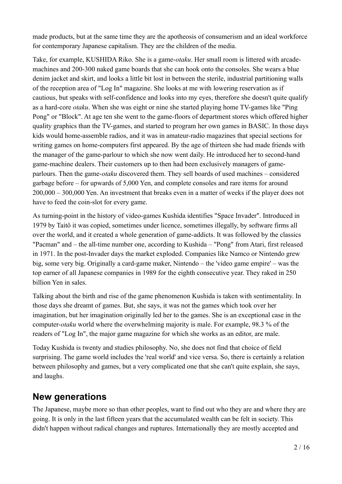made products, but at the same time they are the apotheosis of consumerism and an ideal workforce for contemporary Japanese capitalism. They are the children of the media.

Take, for example, KUSHIDA Riko. She is a game-*otaku*. Her small room is littered with arcademachines and 200-300 naked game boards that she can hook onto the consoles. She wears a blue denim jacket and skirt, and looks a little bit lost in between the sterile, industrial partitioning walls of the reception area of "Log In" magazine. She looks at me with lowering reservation as if cautious, but speaks with self-confidence and looks into my eyes, therefore she doesn't quite qualify as a hard-core *otaku*. When she was eight or nine she started playing home TV-games like "Ping Pong" or "Block". At age ten she went to the game-floors of department stores which offered higher quality graphics than the TV-games, and started to program her own games in BASIC. In those days kids would home-assemble radios, and it was in amateur-radio magazines that special sections for writing games on home-computers first appeared. By the age of thirteen she had made friends with the manager of the game-parlour to which she now went daily. He introduced her to second-hand game-machine dealers. Their customers up to then had been exclusively managers of gameparlours. Then the game-*otaku* discovered them. They sell boards of used machines – considered garbage before – for upwards of 5,000 Yen, and complete consoles and rare items for around 200,000 – 300,000 Yen. An investment that breaks even in a matter of weeks if the player does not have to feed the coin-slot for every game.

As turning-point in the history of video-games Kushida identifies "Space Invader". Introduced in 1979 by Taitô it was copied, sometimes under licence, sometimes illegally, by software firms all over the world, and it created a whole generation of game-addicts. It was followed by the classics "Pacman" and – the all-time number one, according to Kushida – "Pong" from Atari, first released in 1971. In the post-Invader days the market exploded. Companies like Namco or Nintendo grew big, some very big. Originally a card-game maker, Nintendo – the 'video game empire' – was the top earner of all Japanese companies in 1989 for the eighth consecutive year. They raked in 250 billion Yen in sales.

Talking about the birth and rise of the game phenomenon Kushida is taken with sentimentality. In those days she dreamt of games. But, she says, it was not the games which took over her imagination, but her imagination originally led her to the games. She is an exceptional case in the computer-*otaku* world where the overwhelming majority is male. For example, 98.3 % of the readers of "Log In", the major game magazine for which she works as an editor, are male.

Today Kushida is twenty and studies philosophy. No, she does not find that choice of field surprising. The game world includes the 'real world' and vice versa. So, there is certainly a relation between philosophy and games, but a very complicated one that she can't quite explain, she says, and laughs.

#### **New generations**

The Japanese, maybe more so than other peoples, want to find out who they are and where they are going. It is only in the last fifteen years that the accumulated wealth can be felt in society. This didn't happen without radical changes and ruptures. Internationally they are mostly accepted and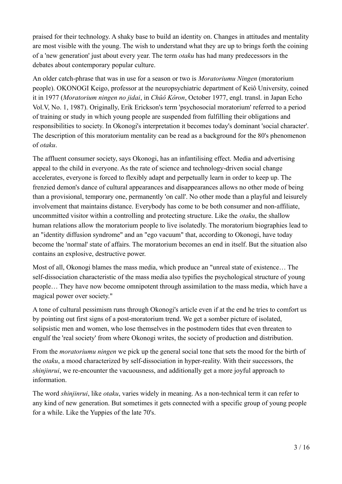praised for their technology. A shaky base to build an identity on. Changes in attitudes and mentality are most visible with the young. The wish to understand what they are up to brings forth the coining of a 'new generation' just about every year. The term *otaku* has had many predecessors in the debates about contemporary popular culture.

An older catch-phrase that was in use for a season or two is *Moratoriumu Ningen* (moratorium people). OKONOGI Keigo, professor at the neuropsychiatric department of Keiô University, coined it in 1977 (*Moratorium ningen no jidai*, in *Chûô Kôron*, October 1977, engl. transl. in Japan Echo Vol.V, No. 1, 1987). Originally, Erik Erickson's term 'psychosocial moratorium' referred to a period of training or study in which young people are suspended from fulfilling their obligations and responsibilities to society. In Okonogi's interpretation it becomes today's dominant 'social character'. The description of this moratorium mentality can be read as a background for the 80's phenomenon of *otaku*.

The affluent consumer society, says Okonogi, has an infantilising effect. Media and advertising appeal to the child in everyone. As the rate of science and technology-driven social change accelerates, everyone is forced to flexibly adapt and perpetually learn in order to keep up. The frenzied demon's dance of cultural appearances and disappearances allows no other mode of being than a provisional, temporary one, permanently 'on call'. No other mode than a playful and leisurely involvement that maintains distance. Everybody has come to be both consumer and non-affiliate, uncommitted visitor within a controlling and protecting structure. Like the *otaku*, the shallow human relations allow the moratorium people to live isolatedly. The moratorium biographies lead to an "identity diffusion syndrome" and an "ego vacuum" that, according to Okonogi, have today become the 'normal' state of affairs. The moratorium becomes an end in itself. But the situation also contains an explosive, destructive power.

Most of all, Okonogi blames the mass media, which produce an "unreal state of existence… The self-dissociation characteristic of the mass media also typifies the psychological structure of young people… They have now become omnipotent through assimilation to the mass media, which have a magical power over society."

A tone of cultural pessimism runs through Okonogi's article even if at the end he tries to comfort us by pointing out first signs of a post-moratorium trend. We get a somber picture of isolated, solipsistic men and women, who lose themselves in the postmodern tides that even threaten to engulf the 'real society' from where Okonogi writes, the society of production and distribution.

From the *moratoriumu ningen* we pick up the general social tone that sets the mood for the birth of the *otaku*, a mood characterized by self-dissociation in hyper-reality. With their successors, the *shinjinrui*, we re-encounter the vacuousness, and additionally get a more joyful approach to information.

The word *shinjinrui*, like *otaku*, varies widely in meaning. As a non-technical term it can refer to any kind of new generation. But sometimes it gets connected with a specific group of young people for a while. Like the Yuppies of the late 70's.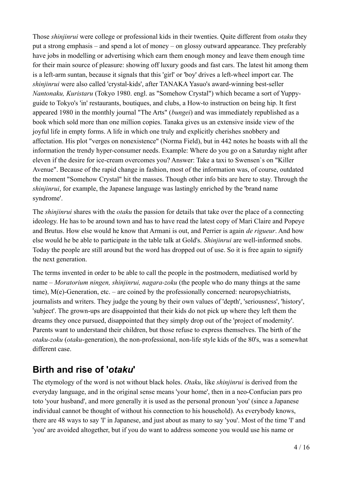Those *shinjinrui* were college or professional kids in their twenties. Quite different from *otaku* they put a strong emphasis – and spend a lot of money – on glossy outward appearance. They preferably have jobs in modelling or advertising which earn them enough money and leave them enough time for their main source of pleasure: showing off luxury goods and fast cars. The latest hit among them is a left-arm suntan, because it signals that this 'girl' or 'boy' drives a left-wheel import car. The *shinjinrui* were also called 'crystal-kids', after TANAKA Yasuo's award-winning best-seller *Nantonaku, Kuristaru* (Tokyo 1980. engl. as "Somehow Crystal") which became a sort of Yuppyguide to Tokyo's 'in' restaurants, boutiques, and clubs, a How-to instruction on being hip. It first appeared 1980 in the monthly journal "The Arts" (*bungei*) and was immediately republished as a book which sold more than one million copies. Tanaka gives us an extensive inside view of the joyful life in empty forms. A life in which one truly and explicitly cherishes snobbery and affectation. His plot "verges on nonexistence" (Norma Field), but in 442 notes he boasts with all the information the trendy hyper-consumer needs. Example: Where do you go on a Saturday night after eleven if the desire for ice-cream overcomes you? Answer: Take a taxi to Swensen`s on "Killer Avenue". Because of the rapid change in fashion, most of the information was, of course, outdated the moment "Somehow Crystal" hit the masses. Though other info bits are here to stay. Through the *shinjinrui*, for example, the Japanese language was lastingly enriched by the 'brand name syndrome'.

The *shinjinrui* shares with the *otaku* the passion for details that take over the place of a connecting ideology. He has to be around town and has to have read the latest copy of Mari Claire and Popeye and Brutus. How else would he know that Armani is out, and Perrier is again *de rigueur*. And how else would he be able to participate in the table talk at Gold's. *Shinjinrui* are well-informed snobs. Today the people are still around but the word has dropped out of use. So it is free again to signify the next generation.

The terms invented in order to be able to call the people in the postmodern, mediatised world by name – *Moratorium ningen, shinjinrui, nagara-zoku* (the people who do many things at the same time), M(e)-Generation, etc. – are coined by the professionally concerned: neuropsychiatrists, journalists and writers. They judge the young by their own values of 'depth', 'seriousness', 'history', 'subject'. The grown-ups are disappointed that their kids do not pick up where they left them the dreams they once pursued, disappointed that they simply drop out of the 'project of modernity'. Parents want to understand their children, but those refuse to express themselves. The birth of the *otaku-zoku* (*otaku*-generation), the non-professional, non-life style kids of the 80's, was a somewhat different case.

#### **Birth and rise of '***otaku***'**

The etymology of the word is not without black holes. *Otaku*, like *shinjinrui* is derived from the everyday language, and in the original sense means 'your home', then in a neo-Confucian pars pro toto 'your husband', and more generally it is used as the personal pronoun 'you' (since a Japanese individual cannot be thought of without his connection to his household). As everybody knows, there are 48 ways to say 'I' in Japanese, and just about as many to say 'you'. Most of the time 'I' and 'you' are avoided altogether, but if you do want to address someone you would use his name or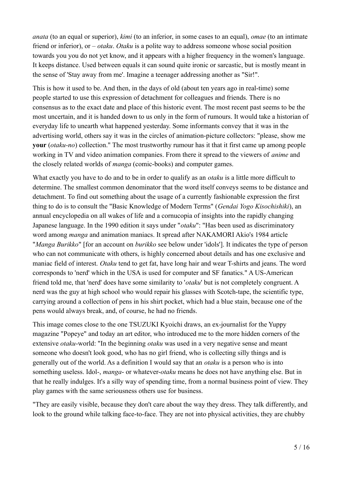*anata* (to an equal or superior), *kimi* (to an inferior, in some cases to an equal), *omae* (to an intimate friend or inferior), or – *otaku*. *Otaku* is a polite way to address someone whose social position towards you you do not yet know, and it appears with a higher frequency in the women's language. It keeps distance. Used between equals it can sound quite ironic or sarcastic, but is mostly meant in the sense of 'Stay away from me'. Imagine a teenager addressing another as "Sir!".

This is how it used to be. And then, in the days of old (about ten years ago in real-time) some people started to use this expression of detachment for colleagues and friends. There is no consensus as to the exact date and place of this historic event. The most recent past seems to be the most uncertain, and it is handed down to us only in the form of rumours. It would take a historian of everyday life to unearth what happened yesterday. Some informants convey that it was in the advertising world, others say it was in the circles of animation-picture collectors: "please, show me **your** (*otaku-no*) collection." The most trustworthy rumour has it that it first came up among people working in TV and video animation companies. From there it spread to the viewers of *anime* and the closely related worlds of *manga* (comic-books) and computer games.

What exactly you have to do and to be in order to qualify as an *otaku* is a little more difficult to determine. The smallest common denominator that the word itself conveys seems to be distance and detachment. To find out something about the usage of a currently fashionable expression the first thing to do is to consult the "Basic Knowledge of Modern Terms" (*Gendai Yogo Kisochishiki*), an annual encyclopedia on all wakes of life and a cornucopia of insights into the rapidly changing Japanese language. In the 1990 edition it says under "*otaku*": "Has been used as discriminatory word among *manga* and animation maniacs. It spread after NAKAMORI Akio's 1984 article "*Manga Burikko*" [for an account on *burikko* see below under 'idols']. It indicates the type of person who can not communicate with others, is highly concerned about details and has one exclusive and maniac field of interest. *Otaku* tend to get fat, have long hair and wear T-shirts and jeans. The word corresponds to 'nerd' which in the USA is used for computer and SF fanatics." A US-American friend told me, that 'nerd' does have some similarity to '*otaku*' but is not completely congruent. A nerd was the guy at high school who would repair his glasses with Scotch-tape, the scientific type, carrying around a collection of pens in his shirt pocket, which had a blue stain, because one of the pens would always break, and, of course, he had no friends.

This image comes close to the one TSUZUKI Kyoichi draws, an ex-journalist for the Yuppy magazine "Popeye" and today an art editor, who introduced me to the more hidden corners of the extensive *otaku*-world: "In the beginning *otaku* was used in a very negative sense and meant someone who doesn't look good, who has no girl friend, who is collecting silly things and is generally out of the world. As a definition I would say that an *otaku* is a person who is into something useless. Idol-, *manga*- or whatever-*otaku* means he does not have anything else. But in that he really indulges. It's a silly way of spending time, from a normal business point of view. They play games with the same seriousness others use for business.

"They are easily visible, because they don't care about the way they dress. They talk differently, and look to the ground while talking face-to-face. They are not into physical activities, they are chubby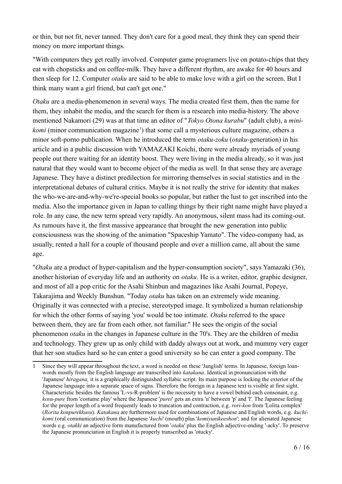or thin, but not fit, never tanned. They don't care for a good meal, they think they can spend their money on more important things.

"With computers they get really involved. Computer game programers live on potato-chips that they eat with chopsticks and on coffee-milk. They have a different rhythm, are awake for 40 hours and then sleep for 12. Computer *otaku* are said to be able to make love with a girl on the screen. But I think many want a girl friend, but can't get one."

*Otaku* are a media-phenomenon in several ways. The media created first them, then the name for them, they inhabit the media, and the search for them is a research into media-history. The above mentioned Nakamori (29) was at that time an editor of "*Tokyo Otona kurabu*" (adult club), a *minikomi* (minor communication magazine<sup>[1](#page-5-0)</sup>) that some call a mysterious culture magazine, others a minor soft-porno publication. When he introduced the term *otaku-zoku* (*otaku*-generation) in his article and in a public discussion with YAMAZAKI Koichi, there were already myriads of young people out there waiting for an identity boost. They were living in the media already, so it was just natural that they would want to become object of the media as well. In that sense they are average Japanese. They have a distinct predilection for mirroring themselves in social statistics and in the interpretational debates of cultural critics. Maybe it is not really the strive for identity that makes the who-we-are-and-why-we're-special books so popular, but rather the lust to get inscribed into the media. Also the importance given in Japan to calling things by their right name might have played a role. In any case, the new term spread very rapidly. An anonymous, silent mass had its coming-out. As rumours have it, the first massive appearance that brought the new generation into public consciousness was the showing of the animation "Spaceship Yamato". The video-company had, as usually, rented a hall for a couple of thousand people and over a million came, all about the same age.

"*Otaku* are a product of hyper-capitalism and the hyper-consumption society", says Yamazaki (36), another historian of everyday life and an authority on *otaku*. He is a writer, editor, graphic designer, and most of all a pop critic for the Asahi Shinbun and magazines like Asahi Journal, Popeye, Takarajima and Weekly Bunshun. "Today *otaku* has taken on an extremely wide meaning. Originally it was connected with a precise, stereotyped image. It symbolized a human relationship for which the other forms of saying 'you' would be too intimate. *Otaku* referred to the space between them, they are far from each other, not familiar." He sees the origin of the social phenomenon *otaku* in the changes in Japanese culture in the 70's. They are the children of media and technology. They grew up as only child with daddy always out at work, and mummy very eager that her son studies hard so he can enter a good university so he can enter a good company. The

<span id="page-5-0"></span>Since they will appear throughout the text, a word is needed on these 'Janglish' terms. In Japanese, foreign loanwords mostly from the English language are transcribed into *katakana*. Identical in pronunciation with the 'Japanese' *hiragana,* it is a graphically distinguished syllabic script. Its main purpose is locking the exterior of the Japanese language into a separate space of signs. Therefore the foreign in a Japanese text is visible at first sight. Characteristic besides the famous 'L-vs-R-problem' is the necessity to have a vowel behind each consonant, e.g. *kosu-pure* from 'costume play' where the Japanese '*purei*' gets an extra 'u' between 'p' and 'l'. The Japanese feeling for the proper length of a word frequently leads to truncation and contraction, e.g. *rori-kon* from 'Lolita complex' (*Rorita konpurekkusu*). *Katakana* are furthermore used for combinations of Japanese and English words, e.g. *kuchikomi* (oral communication) from the Japanese '*kuchi*' (mouth) plus '*komiyunikeeshon*'; and for alienated Japanese words e.g. *otakki* an adjective form manufactured from '*otaku*' plus the English adjective-ending '-acky'. To preserve the Japanese pronunciation in English it is properly transcribed as 'otucky'.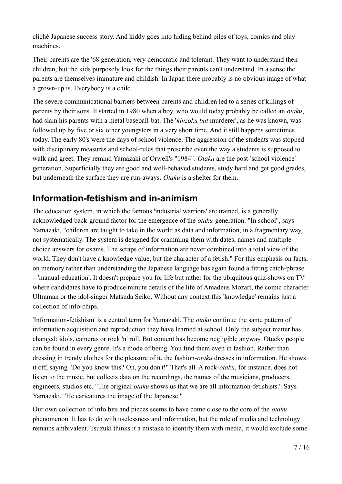cliché- Japanese success story. And kiddy goes into hiding behind piles of toys, comics and play machines.

Their parents are the '68 generation, very democratic and tolerant. They want to understand their children, but the kids purposely look for the things their parents can't understand. In a sense the parents are themselves immature and childish. In Japan there probably is no obvious image of what a grown-up is. Everybody is a child.

The severe communicational barriers between parents and children led to a series of killings of parents by their sons. It started in 1980 when a boy, who would today probably be called an *otaku*, had slain his parents with a metal baseball-bat. The '*kinzoku bat* murderer', as he was known, was followed up by five or six other youngsters in a very short time. And it still happens sometimes today. The early 80's were the days of school violence. The aggression of the students was stopped with disciplinary measures and school-rules that prescribe even the way a students is supposed to walk and greet. They remind Yamazaki of Orwell's "1984". *Otaku* are the post-'school violence' generation. Superficially they are good and well-behaved students, study hard and get good grades, but underneath the surface they are run-aways. *Otaku* is a shelter for them.

### **Information-fetishism and in-animism**

The education system, in which the famous 'industrial warriors' are trained, is a generally acknowledged back-ground factor for the emergence of the *otaku*-generation. "In school", says Yamazaki, "children are taught to take in the world as data and information, in a fragmentary way, not systematically. The system is designed for cramming them with dates, names and multiplechoice answers for exams. The scraps of information are never combined into a total view of the world. They don't have a knowledge value, but the character of a fetish." For this emphasis on facts, on memory rather than understanding the Japanese language has again found a fitting catch-phrase – 'manual-education'. It doesn't prepare you for life but rather for the ubiquitous quiz-shows on TV where candidates have to produce minute details of the life of Amadeus Mozart, the comic character Ultraman or the idol-singer Matsuda Seiko. Without any context this 'knowledge' remains just a collection of info-chips.

'Information-fetishism' is a central term for Yamazaki. The *otaku* continue the same pattern of information acquisition and reproduction they have learned at school. Only the subject matter has changed: idols, cameras or rock 'n' roll. But content has become negligible anyway. Otucky people can be found in every genre. It's a mode of being. You find them even in fashion. Rather than dressing in trendy clothes for the pleasure of it, the fashion-*otaku* dresses in information. He shows it off, saying "Do you know this? Oh, you don't!" That's all. A rock-*otaku*, for instance, does not listen to the music, but collects data on the recordings, the names of the musicians, producers, engineers, studios etc. "The original *otaku* shows us that we are all information-fetishists." Says Yamazaki, "He caricatures the image of the Japanese."

Our own collection of info bits and pieces seems to have come close to the core of the *otaku* phenomenon. It has to do with uselessness and information, but the role of media and technology remains ambivalent. Tsuzuki thinks it a mistake to identify them with media, it would exclude some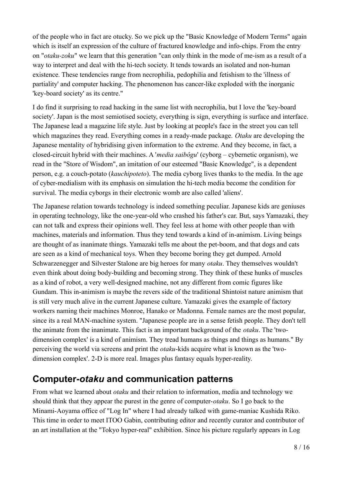of the people who in fact are otucky. So we pick up the "Basic Knowledge of Modern Terms" again which is itself an expression of the culture of fractured knowledge and info-chips. From the entry on "*otaku-zoku*" we learn that this generation "can only think in the mode of me-ism as a result of a way to interpret and deal with the hi-tech society. It tends towards an isolated and non-human existence. These tendencies range from necrophilia, pedophilia and fetishism to the 'illness of partiality' and computer hacking. The phenomenon has cancer-like exploded with the inorganic 'key-board society' as its centre."

I do find it surprising to read hacking in the same list with necrophilia, but I love the 'key-board society'. Japan is the most semiotised society, everything is sign, everything is surface and interface. The Japanese lead a magazine life style. Just by looking at people's face in the street you can tell which magazines they read. Everything comes in a ready-made package. *Otaku* are developing the Japanese mentality of hybridising given information to the extreme. And they become, in fact, a closed-circuit hybrid with their machines. A '*media saibôgu*' (cyborg – cybernetic organism), we read in the "Store of Wisdom", an imitation of our esteemed "Basic Knowledge", is a dependent person, e.g. a couch-potato (*kauchipoteto*). The media cyborg lives thanks to the media. In the age of cyber-medialism with its emphasis on simulation the hi-tech media become the condition for survival. The media cyborgs in their electronic womb are also called 'aliens'.

The Japanese relation towards technology is indeed something peculiar. Japanese kids are geniuses in operating technology, like the one-year-old who crashed his father's car. But, says Yamazaki, they can not talk and express their opinions well. They feel less at home with other people than with machines, materials and information. Thus they tend towards a kind of in-animism. Living beings are thought of as inanimate things. Yamazaki tells me about the pet-boom, and that dogs and cats are seen as a kind of mechanical toys. When they become boring they get dumped. Arnold Schwarzenegger and Silvester Stalone are big heroes for many *otaku*. They themselves wouldn't even think about doing body-building and becoming strong. They think of these hunks of muscles as a kind of robot, a very well-designed machine, not any different from comic figures like Gundam. This in-animism is maybe the revers side of the traditional Shintoist nature animism that is still very much alive in the current Japanese culture. Yamazaki gives the example of factory workers naming their machines Monroe, Hanako or Madonna. Female names are the most popular, since its a real MAN-machine system. "Japanese people are in a sense fetish people. They don't tell the animate from the inanimate. This fact is an important background of the *otaku*. The 'twodimension complex' is a kind of animism. They tread humans as things and things as humans." By perceiving the world via screens and print the *otaku*-kids acquire what is known as the 'twodimension complex'. 2-D is more real. Images plus fantasy equals hyper-reality.

#### **Computer-***otaku* **and communication patterns**

From what we learned about *otaku* and their relation to information, media and technology we should think that they appear the purest in the genre of computer-*otaku*. So I go back to the Minami-Aoyama office of "Log In" where I had already talked with game-maniac Kushida Riko. This time in order to meet ITOO Gabin, contributing editor and recently curator and contributor of an art installation at the "Tokyo hyper-real" exhibition. Since his picture regularly appears in Log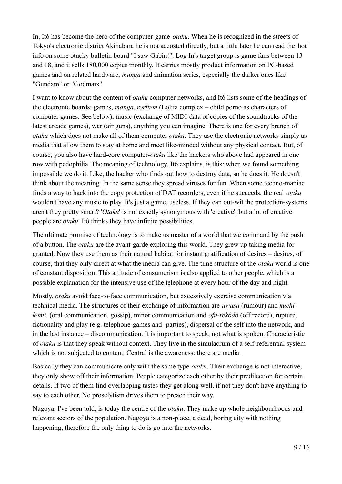In, Itô has become the hero of the computer-game-*otaku*. When he is recognized in the streets of Tokyo's electronic district Akihabara he is not accosted directly, but a little later he can read the 'hot' info on some otucky bulletin board "I saw Gabin!". Log In's target group is game fans between 13 and 18, and it sells 180,000 copies monthly. It carries mostly product information on PC-based games and on related hardware, *manga* and animation series, especially the darker ones like "Gundam" or "Godmars".

I want to know about the content of *otaku* computer networks, and Itô lists some of the headings of the electronic boards: games, *manga*, *rorikon* (Lolita complex – child porno as characters of computer games. See below), music (exchange of MIDI-data of copies of the soundtracks of the latest arcade games), war (air guns), anything you can imagine. There is one for every branch of *otaku* which does not make all of them computer *otaku*. They use the electronic networks simply as media that allow them to stay at home and meet like-minded without any physical contact. But, of course, you also have hard-core computer-*otaku* like the hackers who above had appeared in one row with pedophilia. The meaning of technology, Itô explains, is this: when we found something impossible we do it. Like, the hacker who finds out how to destroy data, so he does it. He doesn't think about the meaning. In the same sense they spread viruses for fun. When some techno-maniac finds a way to hack into the copy protection of DAT recorders, even if he succeeds, the real *otaku* wouldn't have any music to play. It's just a game, useless. If they can out-wit the protection-systems aren't they pretty smart? '*Otaku*' is not exactly synonymous with 'creative', but a lot of creative people are *otaku*. Itô thinks they have infinite possibilities.

The ultimate promise of technology is to make us master of a world that we command by the push of a button. The *otaku* are the avant-garde exploring this world. They grew up taking media for granted. Now they use them as their natural habitat for instant gratification of desires – desires, of course, that they only direct at what the media can give. The time structure of the *otaku* world is one of constant disposition. This attitude of consumerism is also applied to other people, which is a possible explanation for the intensive use of the telephone at every hour of the day and night.

Mostly, *otaku* avoid face-to-face communication, but excessively exercise communication via technical media. The structures of their exchange of information are *uwasa* (rumour) and *kuchikomi*, (oral communication, gossip), minor communication and *ofu-rekôdo* (off record), rupture, fictionality and play (e.g. telephone-games and -parties), dispersal of the self into the network, and in the last instance – discommunication. It is important to speak, not what is spoken. Characteristic of *otaku* is that they speak without context. They live in the simulacrum of a self-referential system which is not subjected to content. Central is the awareness: there are media.

Basically they can communicate only with the same type *otaku*. Their exchange is not interactive, they only show off their information. People categorize each other by their predilection for certain details. If two of them find overlapping tastes they get along well, if not they don't have anything to say to each other. No proselytism drives them to preach their way.

Nagoya, I've been told, is today the centre of the *otaku*. They make up whole neighbourhoods and relevant sectors of the population. Nagoya is a non-place, a dead, boring city with nothing happening, therefore the only thing to do is go into the networks.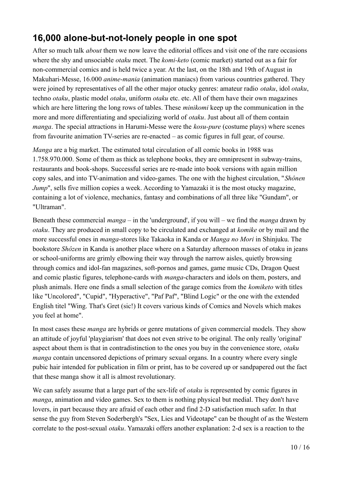# **16,000 alone-but-not-lonely people in one spot**

After so much talk *about* them we now leave the editorial offices and visit one of the rare occasions where the shy and unsociable *otaku* meet. The *komi-keto* (comic market) started out as a fair for non-commercial comics and is held twice a year. At the last, on the 18th and 19th of August in Makuhari-Messe, 16.000 *anime-mania* (animation maniacs) from various countries gathered. They were joined by representatives of all the other major otucky genres: amateur radio *otaku*, idol *otaku*, techno *otaku*, plastic model *otaku*, uniform *otaku* etc. etc. All of them have their own magazines which are here littering the long rows of tables. These *minikomi* keep up the communication in the more and more differentiating and specializing world of *otaku*. Just about all of them contain *manga*. The special attractions in Harumi-Messe were the *kosu-pure* (costume plays) where scenes from favourite animation TV-series are re-enacted – as comic figures in full gear, of course.

*Manga* are a big market. The estimated total circulation of all comic books in 1988 was 1.758.970.000. Some of them as thick as telephone books, they are omnipresent in subway-trains, restaurants and book-shops. Successful series are re-made into book versions with again million copy sales, and into TV-animation and video-games. The one with the highest circulation, "*Shônen Jump*", sells five million copies a week. According to Yamazaki it is the most otucky magazine, containing a lot of violence, mechanics, fantasy and combinations of all three like "Gundam", or "Ultraman".

Beneath these commercial *manga* – in the 'underground', if you will – we find the *manga* drawn by *otaku*. They are produced in small copy to be circulated and exchanged at *komike* or by mail and the more successful ones in *manga*-stores like Takaoka in Kanda or *Manga no Mori* in Shinjuku. The bookstore *Shôzen* in Kanda is another place where on a Saturday afternoon masses of otaku in jeans or school-uniforms are grimly elbowing their way through the narrow aisles, quietly browsing through comics and idol-fan magazines, soft-pornos and games, game music CDs, Dragon Quest and comic plastic figures, telephone-cards with *manga*-characters and idols on them, posters, and plush animals. Here one finds a small selection of the garage comics from the *komiketo* with titles like "Uncolored", "Cupid", "Hyperactive", "Paf Paf", "Blind Logic" or the one with the extended English titel "Wing. That's Gret (sic!) It covers various kinds of Comics and Novels which makes you feel at home".

In most cases these *manga* are hybrids or genre mutations of given commercial models. They show an attitude of joyful 'playgiarism' that does not even strive to be original. The only really 'original' aspect about them is that in contradistinction to the ones you buy in the convenience store, *otaku manga* contain uncensored depictions of primary sexual organs. In a country where every single pubic hair intended for publication in film or print, has to be covered up or sandpapered out the fact that these manga show it all is almost revolutionary.

We can safely assume that a large part of the sex-life of *otaku* is represented by comic figures in *manga*, animation and video games. Sex to them is nothing physical but medial. They don't have lovers, in part because they are afraid of each other and find 2-D satisfaction much safer. In that sense the guy from Steven Soderbergh's "Sex, Lies and Videotape" can be thought of as the Western correlate to the post-sexual *otaku*. Yamazaki offers another explanation: 2-d sex is a reaction to the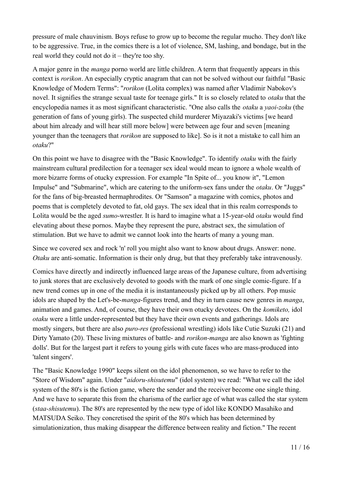pressure of male chauvinism. Boys refuse to grow up to become the regular mucho. They don't like to be aggressive. True, in the comics there is a lot of violence, SM, lashing, and bondage, but in the real world they could not do it – they're too shy.

A major genre in the *manga* porno world are little children. A term that frequently appears in this context is *rorikon*. An especially cryptic anagram that can not be solved without our faithful "Basic Knowledge of Modern Terms": "*rorikon* (Lolita complex) was named after Vladimir Nabokov's novel. It signifies the strange sexual taste for teenage girls." It is so closely related to *otaku* that the encyclopedia names it as most significant characteristic. "One also calls the *otaku* a *yaoi-zoku* (the generation of fans of young girls). The suspected child murderer Miyazaki's victims [we heard about him already and will hear still more below] were between age four and seven [meaning younger than the teenagers that *rorikon* are supposed to like]. So is it not a mistake to call him an *otaku*?"

On this point we have to disagree with the "Basic Knowledge". To identify *otaku* with the fairly mainstream cultural predilection for a teenager sex ideal would mean to ignore a whole wealth of more bizarre forms of otucky expression. For example "In Spite of... you know it", "Lemon Impulse" and "Submarine", which are catering to the uniform-sex fans under the *otaku*. Or "Juggs" for the fans of big-breasted hermaphrodites. Or "Samson" a magazine with comics, photos and poems that is completely devoted to fat, old gays. The sex ideal that in this realm corresponds to Lolita would be the aged *sumo*-wrestler. It is hard to imagine what a 15-year-old *otaku* would find elevating about these pornos. Maybe they represent the pure, abstract sex, the simulation of stimulation. But we have to admit we cannot look into the hearts of many a young man.

Since we covered sex and rock 'n' roll you might also want to know about drugs. Answer: none. *Otaku* are anti-somatic. Information is their only drug, but that they preferably take intravenously.

Comics have directly and indirectly influenced large areas of the Japanese culture, from advertising to junk stores that are exclusively devoted to goods with the mark of one single comic-figure. If a new trend comes up in one of the media it is instantaneously picked up by all others. Pop music idols are shaped by the Let's-be-*manga*-figures trend, and they in turn cause new genres in *manga*, animation and games. And, of course, they have their own otucky devotees. On the *komiketo,* idol *otaku* were a little under-represented but they have their own events and gatherings. Idols are mostly singers, but there are also *puro-res* (professional wrestling) idols like Cutie Suzuki (21) and Dirty Yamato (20). These living mixtures of battle- and *rorikon-manga* are also known as 'fighting dolls'. But for the largest part it refers to young girls with cute faces who are mass-produced into 'talent singers'.

The "Basic Knowledge 1990" keeps silent on the idol phenomenon, so we have to refer to the "Store of Wisdom" again. Under "*aidoru-shisutemu*" (idol system) we read: "What we call the idol system of the 80's is the fiction game, where the sender and the receiver become one single thing. And we have to separate this from the charisma of the earlier age of what was called the star system (*staa-shisutemu*). The 80's are represented by the new type of idol like KONDO Masahiko and MATSUDA Seiko. They concretised the spirit of the 80's which has been determined by simulationization, thus making disappear the difference between reality and fiction." The recent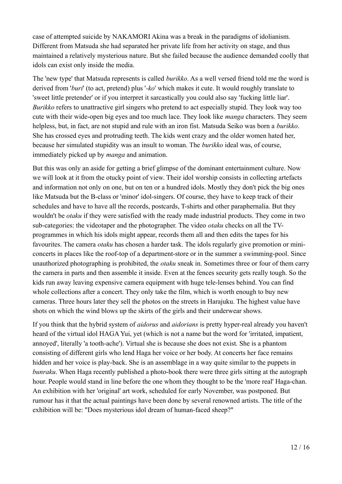case of attempted suicide by NAKAMORI Akina was a break in the paradigms of idolianism. Different from Matsuda she had separated her private life from her activity on stage, and thus maintained a relatively mysterious nature. But she failed because the audience demanded coolly that idols can exist only inside the media.

The 'new type' that Matsuda represents is called *burikko*. As a well versed friend told me the word is derived from '*buri*' (to act, pretend) plus '*-ko*' which makes it cute. It would roughly translate to 'sweet little pretender' or if you interpret it sarcastically you could also say 'fucking little liar'. *Burikko* refers to unattractive girl singers who pretend to act especially stupid. They look way too cute with their wide-open big eyes and too much lace. They look like *manga* characters. They seem helpless, but, in fact, are not stupid and rule with an iron fist. Matsuda Seiko was born a *burikko*. She has crossed eyes and protruding teeth. The kids went crazy and the older women hated her, because her simulated stupidity was an insult to woman. The *burikko* ideal was, of course, immediately picked up by *manga* and animation.

But this was only an aside for getting a brief glimpse of the dominant entertainment culture. Now we will look at it from the otucky point of view. Their idol worship consists in collecting artefacts and information not only on one, but on ten or a hundred idols. Mostly they don't pick the big ones like Matsuda but the B-class or 'minor' idol-singers. Of course, they have to keep track of their schedules and have to have all the records, postcards, T-shirts and other paraphernalia. But they wouldn't be *otaku* if they were satisfied with the ready made industrial products. They come in two sub-categories: the videotaper and the photographer. The video *otaku* checks on all the TVprogrammes in which his idols might appear, records them all and then edits the tapes for his favourites. The camera *otaku* has chosen a harder task. The idols regularly give promotion or miniconcerts in places like the roof-top of a department-store or in the summer a swimming-pool. Since unauthorized photographing is prohibited, the *otaku* sneak in. Sometimes three or four of them carry the camera in parts and then assemble it inside. Even at the fences security gets really tough. So the kids run away leaving expensive camera equipment with huge tele-lenses behind. You can find whole collections after a concert. They only take the film, which is worth enough to buy new cameras. Three hours later they sell the photos on the streets in Harajuku. The highest value have shots on which the wind blows up the skirts of the girls and their underwear shows.

If you think that the hybrid system of *aidorus* and *aidorians* is pretty hyper-real already you haven't heard of the virtual idol HAGA Yui, yet (which is not a name but the word for 'irritated, impatient, annoyed', literally 'a tooth-ache'). Virtual she is because she does not exist. She is a phantom consisting of different girls who lend Haga her voice or her body. At concerts her face remains hidden and her voice is play-back. She is an assemblage in a way quite similar to the puppets in *bunraku*. When Haga recently published a photo-book there were three girls sitting at the autograph hour. People would stand in line before the one whom they thought to be the 'more real' Haga-chan. An exhibition with her 'original' art work, scheduled for early November, was postponed. But rumour has it that the actual paintings have been done by several renowned artists. The title of the exhibition will be: "Does mysterious idol dream of human-faced sheep?"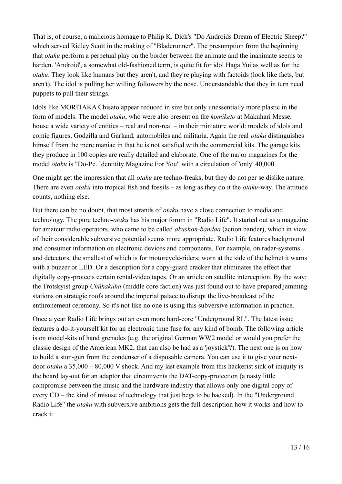That is, of course, a malicious homage to Philip K. Dick's "Do Androids Dream of Electric Sheep?" which served Ridley Scott in the making of "Bladerunner". The presumption from the beginning that *otaku* perform a perpetual play on the border between the animate and the inanimate seems to harden. 'Android', a somewhat old-fashioned term, is quite fit for idol Haga Yui as well as for the *otaku*. They look like humans but they aren't, and they're playing with factoids (look like facts, but aren't). The idol is pulling her willing followers by the nose. Understandable that they in turn need puppets to pull their strings.

Idols like MORITAKA Chisato appear reduced in size but only unessentially more plastic in the form of models. The model *otaku*, who were also present on the *komiketo* at Makuhari Messe, house a wide variety of entities – real and non-real – in their miniature world: models of idols and comic figures, Godzilla and Garland, automobiles and militaria. Again the real *otaku* distinguishes himself from the mere maniac in that he is not satisfied with the commercial kits. The garage kits they produce in 100 copies are really detailed and elaborate. One of the major magazines for the model *otaku* is "Do-Pe. Identitity Magazine For You" with a circulation of 'only' 40,000.

One might get the impression that all *otaku* are techno-freaks, but they do not per se dislike nature. There are even *otaku* into tropical fish and fossils – as long as they do it the *otaku*-way. The attitude counts, nothing else.

But there can be no doubt, that most strands of *otaku* have a close connection to media and technology. The pure techno-*otaku* has his major forum in "Radio Life". It started out as a magazine for amateur radio operators, who came to be called *akushon-bandaa* (action bander), which in view of their considerable subversive potential seems more appropriate. Radio Life features background and consumer information on electronic devices and components. For example, on radar-systems and detectors, the smallest of which is for motorcycle-riders; worn at the side of the helmet it warns with a buzzer or LED. Or a description for a copy-guard cracker that eliminates the effect that digitally copy-protects certain rental-video tapes. Or an article on satellite interception. By the way: the Trotskyist group *Chûkakuha* (middle core faction) was just found out to have prepared jamming stations on strategic roofs around the imperial palace to disrupt the live-broadcast of the enthronement ceremony. So it's not like no one is using this subversive information in practice.

Once a year Radio Life brings out an even more hard-core "Underground RL". The latest issue features a do-it-yourself kit for an electronic time fuse for any kind of bomb. The following article is on model-kits of hand grenades (e.g. the original German WW2 model or would you prefer the classic design of the American MK2, that can also be had as a 'joystick'?). The next one is on how to build a stun-gun from the condenser of a disposable camera. You can use it to give your nextdoor *otaku* a 35,000 – 80,000 V shock. And my last example from this hackerist sink of iniquity is the board lay-out for an adaptor that circumvents the DAT-copy-protection (a nasty little compromise between the music and the hardware industry that allows only one digital copy of every CD – the kind of misuse of technology that just begs to be hacked). In the "Underground Radio Life" the *otaku* with subversive ambitions gets the full description how it works and how to crack it.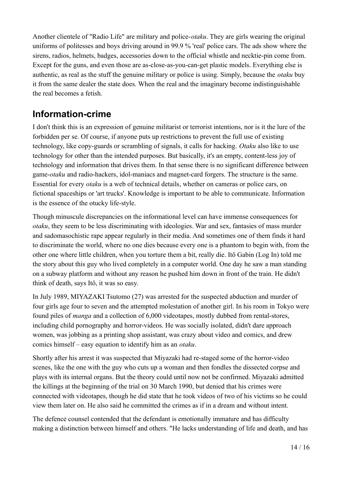Another clientele of "Radio Life" are military and police-*otaku*. They are girls wearing the original uniforms of politesses and boys driving around in 99.9 % 'real' police cars. The ads show where the sirens, radios, helmets, badges, accessories down to the official whistle and necktie-pin come from. Except for the guns, and even those are as-close-as-you-can-get plastic models. Everything else is authentic, as real as the stuff the genuine military or police is using. Simply, because the *otaku* buy it from the same dealer the state does. When the real and the imaginary become indistinguishable the real becomes a fetish.

#### **Information-crime**

I don't think this is an expression of genuine militarist or terrorist intentions, nor is it the lure of the forbidden per se. Of course, if anyone puts up restrictions to prevent the full use of existing technology, like copy-guards or scrambling of signals, it calls for hacking. *Otaku* also like to use technology for other than the intended purposes. But basically, it's an empty, content-less joy of technology and information that drives them. In that sense there is no significant difference between game-*otaku* and radio-hackers, idol-maniacs and magnet-card forgers. The structure is the same. Essential for every *otaku* is a web of technical details, whether on cameras or police cars, on fictional spaceships or 'art trucks'. Knowledge is important to be able to communicate. Information is the essence of the otucky life-style.

Though minuscule discrepancies on the informational level can have immense consequences for *otaku*, they seem to be less discriminating with ideologies. War and sex, fantasies of mass murder and sadomasochistic rape appear regularly in their media. And sometimes one of them finds it hard to discriminate the world, where no one dies because every one is a phantom to begin with, from the other one where little children, when you torture them a bit, really die. Itô Gabin (Log In) told me the story about this guy who lived completely in a computer world. One day he saw a man standing on a subway platform and without any reason he pushed him down in front of the train. He didn't think of death, says Itô, it was so easy.

In July 1989, MIYAZAKI Tsutomo (27) was arrested for the suspected abduction and murder of four girls age four to seven and the attempted molestation of another girl. In his room in Tokyo were found piles of *manga* and a collection of 6,000 videotapes, mostly dubbed from rental-stores, including child pornography and horror-videos. He was socially isolated, didn't dare approach women, was jobbing as a printing shop assistant, was crazy about video and comics, and drew comics himself – easy equation to identify him as an *otaku*.

Shortly after his arrest it was suspected that Miyazaki had re-staged some of the horror-video scenes, like the one with the guy who cuts up a woman and then fondles the dissected corpse and plays with its internal organs. But the theory could until now not be confirmed. Miyazaki admitted the killings at the beginning of the trial on 30 March 1990, but denied that his crimes were connected with videotapes, though he did state that he took videos of two of his victims so he could view them later on. He also said he committed the crimes as if in a dream and without intent.

The defence counsel contended that the defendant is emotionally immature and has difficulty making a distinction between himself and others. "He lacks understanding of life and death, and has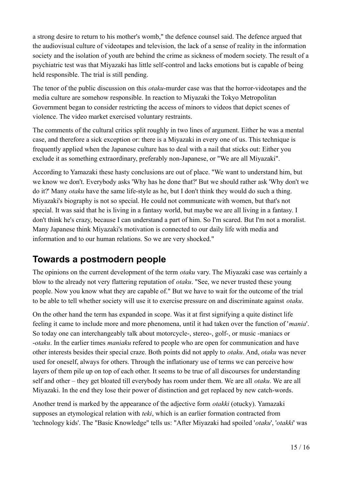a strong desire to return to his mother's womb," the defence counsel said. The defence argued that the audiovisual culture of videotapes and television, the lack of a sense of reality in the information society and the isolation of youth are behind the crime as sickness of modern society. The result of a psychiatric test was that Miyazaki has little self-control and lacks emotions but is capable of being held responsible. The trial is still pending.

The tenor of the public discussion on this *otaku*-murder case was that the horror-videotapes and the media culture are somehow responsible. In reaction to Miyazaki the Tokyo Metropolitan Government began to consider restricting the access of minors to videos that depict scenes of violence. The video market exercised voluntary restraints.

The comments of the cultural critics split roughly in two lines of argument. Either he was a mental case, and therefore a sick exception or: there is a Miyazaki in every one of us. This technique is frequently applied when the Japanese culture has to deal with a nail that sticks out: Either you exclude it as something extraordinary, preferably non-Japanese, or "We are all Miyazaki".

According to Yamazaki these hasty conclusions are out of place. "We want to understand him, but we know we don't. Everybody asks 'Why has he done that?' But we should rather ask 'Why don't we do it?' Many *otaku* have the same life-style as he, but I don't think they would do such a thing. Miyazaki's biography is not so special. He could not communicate with women, but that's not special. It was said that he is living in a fantasy world, but maybe we are all living in a fantasy. I don't think he's crazy, because I can understand a part of him. So I'm scared. But I'm not a moralist. Many Japanese think Miyazaki's motivation is connected to our daily life with media and information and to our human relations. So we are very shocked."

# **Towards a postmodern people**

The opinions on the current development of the term *otaku* vary. The Miyazaki case was certainly a blow to the already not very flattering reputation of *otaku*. "See, we never trusted these young people. Now you know what they are capable of." But we have to wait for the outcome of the trial to be able to tell whether society will use it to exercise pressure on and discriminate against *otaku*.

On the other hand the term has expanded in scope. Was it at first signifying a quite distinct life feeling it came to include more and more phenomena, until it had taken over the function of '*mania*'. So today one can interchangeably talk about motorcycle-, stereo-, golf-, or music -maniacs or -*otaku*. In the earlier times *maniaku* refered to people who are open for communication and have other interests besides their special craze. Both points did not apply to *otaku*. And, *otaku* was never used for oneself, always for others. Through the inflationary use of terms we can perceive how layers of them pile up on top of each other. It seems to be true of all discourses for understanding self and other – they get bloated till everybody has room under them. We are all *otaku*. We are all Miyazaki. In the end they lose their power of distinction and get replaced by new catch-words.

Another trend is marked by the appearance of the adjective form *otakki* (otucky). Yamazaki supposes an etymological relation with *teki*, which is an earlier formation contracted from 'technology kids'. The "Basic Knowledge" tells us: "After Miyazaki had spoiled '*otaku*', '*otakki*' was